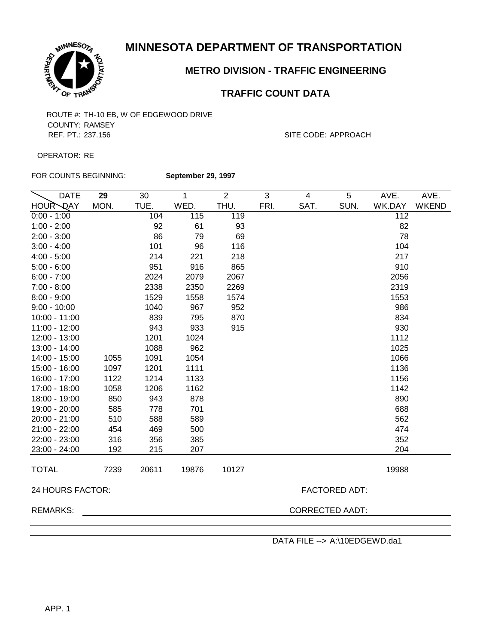

## **METRO DIVISION - TRAFFIC ENGINEERING**

## **TRAFFIC COUNT DATA**

COUNTY: RAMSEY REF. PT.: 237.156 SITE CODE: APPROACH

OPERATOR: RE

FOR COUNTS BEGINNING:

**September 29, 1997**

| <b>DATE</b>               | 29   | 30    | 1     | $\overline{2}$ | 3    | 4                      | 5                    | AVE.   | AVE.         |
|---------------------------|------|-------|-------|----------------|------|------------------------|----------------------|--------|--------------|
| <b>HOUR</b><br><b>QAY</b> | MON. | TUE.  | WED.  | THU.           | FRI. | SAT.                   | SUN.                 | WK.DAY | <b>WKEND</b> |
| $0:00 - 1:00$             |      | 104   | 115   | 119            |      |                        |                      | 112    |              |
| $1:00 - 2:00$             |      | 92    | 61    | 93             |      |                        |                      | 82     |              |
| $2:00 - 3:00$             |      | 86    | 79    | 69             |      |                        |                      | 78     |              |
| $3:00 - 4:00$             |      | 101   | 96    | 116            |      |                        |                      | 104    |              |
| $4:00 - 5:00$             |      | 214   | 221   | 218            |      |                        |                      | 217    |              |
| $5:00 - 6:00$             |      | 951   | 916   | 865            |      |                        |                      | 910    |              |
| $6:00 - 7:00$             |      | 2024  | 2079  | 2067           |      |                        |                      | 2056   |              |
| $7:00 - 8:00$             |      | 2338  | 2350  | 2269           |      |                        |                      | 2319   |              |
| $8:00 - 9:00$             |      | 1529  | 1558  | 1574           |      |                        |                      | 1553   |              |
| $9:00 - 10:00$            |      | 1040  | 967   | 952            |      |                        |                      | 986    |              |
| $10:00 - 11:00$           |      | 839   | 795   | 870            |      |                        |                      | 834    |              |
| 11:00 - 12:00             |      | 943   | 933   | 915            |      |                        |                      | 930    |              |
| 12:00 - 13:00             |      | 1201  | 1024  |                |      |                        |                      | 1112   |              |
| 13:00 - 14:00             |      | 1088  | 962   |                |      |                        |                      | 1025   |              |
| 14:00 - 15:00             | 1055 | 1091  | 1054  |                |      |                        |                      | 1066   |              |
| 15:00 - 16:00             | 1097 | 1201  | 1111  |                |      |                        |                      | 1136   |              |
| 16:00 - 17:00             | 1122 | 1214  | 1133  |                |      |                        |                      | 1156   |              |
| 17:00 - 18:00             | 1058 | 1206  | 1162  |                |      |                        |                      | 1142   |              |
| 18:00 - 19:00             | 850  | 943   | 878   |                |      |                        |                      | 890    |              |
| 19:00 - 20:00             | 585  | 778   | 701   |                |      |                        |                      | 688    |              |
| 20:00 - 21:00             | 510  | 588   | 589   |                |      |                        |                      | 562    |              |
| $21:00 - 22:00$           | 454  | 469   | 500   |                |      |                        |                      | 474    |              |
| 22:00 - 23:00             | 316  | 356   | 385   |                |      |                        |                      | 352    |              |
| 23:00 - 24:00             | 192  | 215   | 207   |                |      |                        |                      | 204    |              |
| <b>TOTAL</b>              | 7239 | 20611 | 19876 | 10127          |      |                        |                      | 19988  |              |
|                           |      |       |       |                |      |                        |                      |        |              |
| 24 HOURS FACTOR:          |      |       |       |                |      |                        | <b>FACTORED ADT:</b> |        |              |
| <b>REMARKS:</b>           |      |       |       |                |      | <b>CORRECTED AADT:</b> |                      |        |              |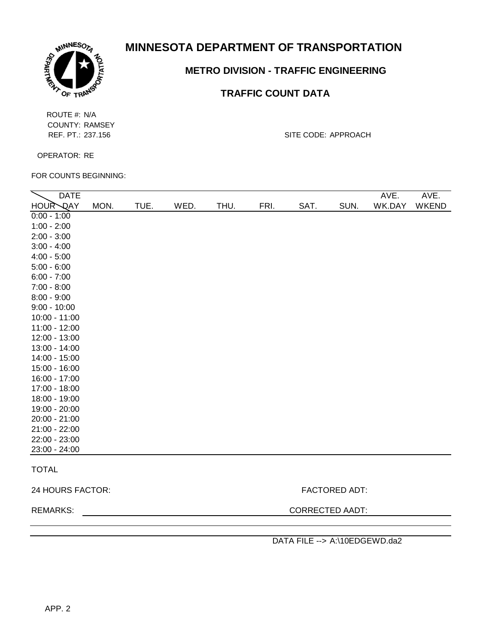

## **METRO DIVISION - TRAFFIC ENGINEERING**

## **TRAFFIC COUNT DATA**

ROUTE #: N/A COUNTY: RAMSEY

REF. PT.: 237.156 SITE CODE: APPROACH

OPERATOR: RE

FOR COUNTS BEGINNING:

| <b>DATE</b>     |      |      |      |      |      |      |      | AVE.   | AVE.  |
|-----------------|------|------|------|------|------|------|------|--------|-------|
| HOUR QAY        | MON. | TUE. | WED. | THU. | FRI. | SAT. | SUN. | WK.DAY | WKEND |
| $0:00 - 1:00$   |      |      |      |      |      |      |      |        |       |
| $1:00 - 2:00$   |      |      |      |      |      |      |      |        |       |
| $2:00 - 3:00$   |      |      |      |      |      |      |      |        |       |
| $3:00 - 4:00$   |      |      |      |      |      |      |      |        |       |
| $4:00 - 5:00$   |      |      |      |      |      |      |      |        |       |
| $5:00 - 6:00$   |      |      |      |      |      |      |      |        |       |
| $6:00 - 7:00$   |      |      |      |      |      |      |      |        |       |
| $7:00 - 8:00$   |      |      |      |      |      |      |      |        |       |
| $8:00 - 9:00$   |      |      |      |      |      |      |      |        |       |
| $9:00 - 10:00$  |      |      |      |      |      |      |      |        |       |
| $10:00 - 11:00$ |      |      |      |      |      |      |      |        |       |
| $11:00 - 12:00$ |      |      |      |      |      |      |      |        |       |
| 12:00 - 13:00   |      |      |      |      |      |      |      |        |       |
| 13:00 - 14:00   |      |      |      |      |      |      |      |        |       |
| 14:00 - 15:00   |      |      |      |      |      |      |      |        |       |
| 15:00 - 16:00   |      |      |      |      |      |      |      |        |       |
| 16:00 - 17:00   |      |      |      |      |      |      |      |        |       |
| 17:00 - 18:00   |      |      |      |      |      |      |      |        |       |
| 18:00 - 19:00   |      |      |      |      |      |      |      |        |       |
| 19:00 - 20:00   |      |      |      |      |      |      |      |        |       |
| $20:00 - 21:00$ |      |      |      |      |      |      |      |        |       |
| $21:00 - 22:00$ |      |      |      |      |      |      |      |        |       |
| 22:00 - 23:00   |      |      |      |      |      |      |      |        |       |
| 23:00 - 24:00   |      |      |      |      |      |      |      |        |       |
| <b>TOTAL</b>    |      |      |      |      |      |      |      |        |       |

24 HOURS FACTOR: FACTORED ADT:

REMARKS: CORRECTED AADT: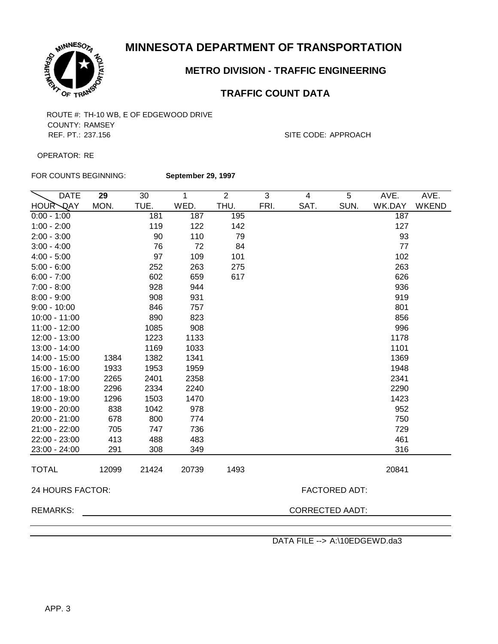

## **METRO DIVISION - TRAFFIC ENGINEERING**

## **TRAFFIC COUNT DATA**

COUNTY: RAMSEY REF. PT.: 237.156 SITE CODE: APPROACH

OPERATOR: RE

FOR COUNTS BEGINNING:

**September 29, 1997**

| <b>DATE</b>      | 29    | 30    | 1                      | $\overline{2}$ | 3    | $\overline{4}$ | 5                    | AVE.   | AVE.         |
|------------------|-------|-------|------------------------|----------------|------|----------------|----------------------|--------|--------------|
| <b>HOUR DAY</b>  | MON.  | TUE.  | WED.                   | THU.           | FRI. | SAT.           | SUN.                 | WK.DAY | <b>WKEND</b> |
| $0:00 - 1:00$    |       | 181   | 187                    | 195            |      |                |                      | 187    |              |
| $1:00 - 2:00$    |       | 119   | 122                    | 142            |      |                |                      | 127    |              |
| $2:00 - 3:00$    |       | 90    | 110                    | 79             |      |                |                      | 93     |              |
| $3:00 - 4:00$    |       | 76    | 72                     | 84             |      |                |                      | 77     |              |
| $4:00 - 5:00$    |       | 97    | 109                    | 101            |      |                |                      | 102    |              |
| $5:00 - 6:00$    |       | 252   | 263                    | 275            |      |                |                      | 263    |              |
| $6:00 - 7:00$    |       | 602   | 659                    | 617            |      |                |                      | 626    |              |
| $7:00 - 8:00$    |       | 928   | 944                    |                |      |                |                      | 936    |              |
| $8:00 - 9:00$    |       | 908   | 931                    |                |      |                |                      | 919    |              |
| $9:00 - 10:00$   |       | 846   | 757                    |                |      |                |                      | 801    |              |
| $10:00 - 11:00$  |       | 890   | 823                    |                |      |                |                      | 856    |              |
| $11:00 - 12:00$  |       | 1085  | 908                    |                |      |                |                      | 996    |              |
| 12:00 - 13:00    |       | 1223  | 1133                   |                |      |                |                      | 1178   |              |
| 13:00 - 14:00    |       | 1169  | 1033                   |                |      |                |                      | 1101   |              |
| 14:00 - 15:00    | 1384  | 1382  | 1341                   |                |      |                |                      | 1369   |              |
| 15:00 - 16:00    | 1933  | 1953  | 1959                   |                |      |                |                      | 1948   |              |
| 16:00 - 17:00    | 2265  | 2401  | 2358                   |                |      |                |                      | 2341   |              |
| 17:00 - 18:00    | 2296  | 2334  | 2240                   |                |      |                |                      | 2290   |              |
| 18:00 - 19:00    | 1296  | 1503  | 1470                   |                |      |                |                      | 1423   |              |
| 19:00 - 20:00    | 838   | 1042  | 978                    |                |      |                |                      | 952    |              |
| 20:00 - 21:00    | 678   | 800   | 774                    |                |      |                |                      | 750    |              |
| $21:00 - 22:00$  | 705   | 747   | 736                    |                |      |                |                      | 729    |              |
| 22:00 - 23:00    | 413   | 488   | 483                    |                |      |                |                      | 461    |              |
| 23:00 - 24:00    | 291   | 308   | 349                    |                |      |                |                      | 316    |              |
| <b>TOTAL</b>     | 12099 | 21424 | 20739                  | 1493           |      |                |                      | 20841  |              |
| 24 HOURS FACTOR: |       |       |                        |                |      |                | <b>FACTORED ADT:</b> |        |              |
| <b>REMARKS:</b>  |       |       | <b>CORRECTED AADT:</b> |                |      |                |                      |        |              |